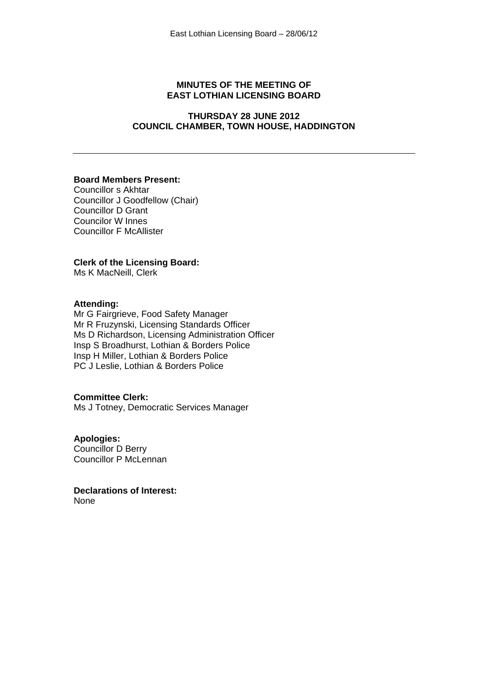#### **MINUTES OF THE MEETING OF EAST LOTHIAN LICENSING BOARD**

#### **THURSDAY 28 JUNE 2012 COUNCIL CHAMBER, TOWN HOUSE, HADDINGTON**

#### **Board Members Present:**

Councillor s Akhtar Councillor J Goodfellow (Chair) Councillor D Grant Councilor W Innes Councillor F McAllister

#### **Clerk of the Licensing Board:**

Ms K MacNeill, Clerk

#### **Attending:**

Mr G Fairgrieve, Food Safety Manager Mr R Fruzynski, Licensing Standards Officer Ms D Richardson, Licensing Administration Officer Insp S Broadhurst, Lothian & Borders Police Insp H Miller, Lothian & Borders Police PC J Leslie, Lothian & Borders Police

#### **Committee Clerk:**

Ms J Totney, Democratic Services Manager

#### **Apologies:**

Councillor D Berry Councillor P McLennan

**Declarations of Interest:**  None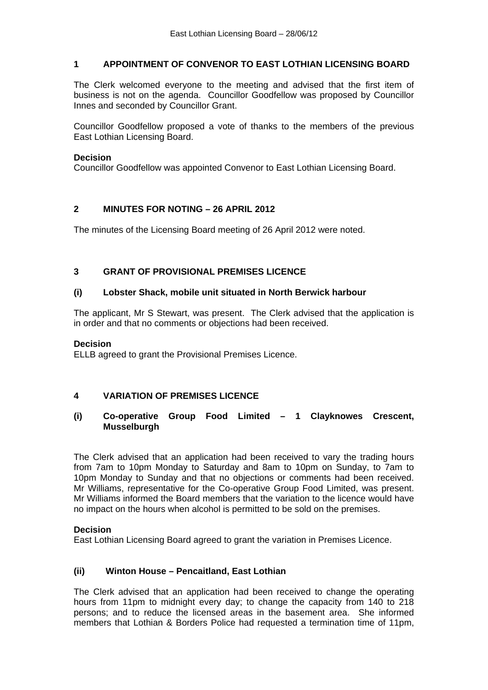#### **1 APPOINTMENT OF CONVENOR TO EAST LOTHIAN LICENSING BOARD**

The Clerk welcomed everyone to the meeting and advised that the first item of business is not on the agenda. Councillor Goodfellow was proposed by Councillor Innes and seconded by Councillor Grant.

Councillor Goodfellow proposed a vote of thanks to the members of the previous East Lothian Licensing Board.

#### **Decision**

Councillor Goodfellow was appointed Convenor to East Lothian Licensing Board.

## **2 MINUTES FOR NOTING – 26 APRIL 2012**

The minutes of the Licensing Board meeting of 26 April 2012 were noted.

# **3 GRANT OF PROVISIONAL PREMISES LICENCE**

## **(i) Lobster Shack, mobile unit situated in North Berwick harbour**

The applicant, Mr S Stewart, was present. The Clerk advised that the application is in order and that no comments or objections had been received.

#### **Decision**

ELLB agreed to grant the Provisional Premises Licence.

## **4 VARIATION OF PREMISES LICENCE**

#### **(i) Co-operative Group Food Limited – 1 Clayknowes Crescent, Musselburgh**

The Clerk advised that an application had been received to vary the trading hours from 7am to 10pm Monday to Saturday and 8am to 10pm on Sunday, to 7am to 10pm Monday to Sunday and that no objections or comments had been received. Mr Williams, representative for the Co-operative Group Food Limited, was present. Mr Williams informed the Board members that the variation to the licence would have no impact on the hours when alcohol is permitted to be sold on the premises.

#### **Decision**

East Lothian Licensing Board agreed to grant the variation in Premises Licence.

## **(ii) Winton House – Pencaitland, East Lothian**

The Clerk advised that an application had been received to change the operating hours from 11pm to midnight every day; to change the capacity from 140 to 218 persons; and to reduce the licensed areas in the basement area. She informed members that Lothian & Borders Police had requested a termination time of 11pm,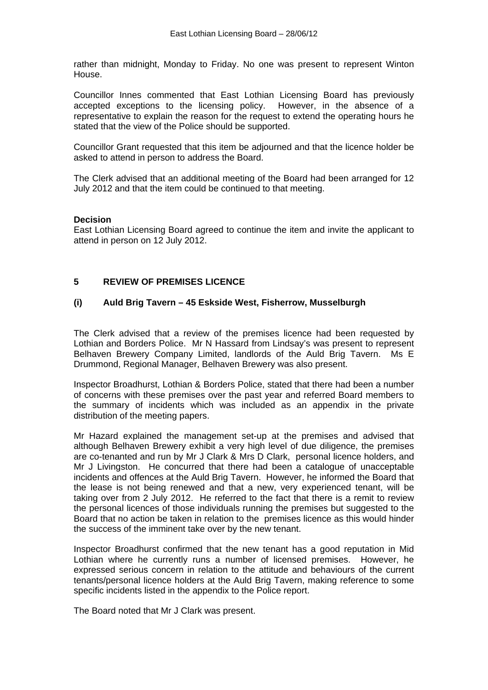rather than midnight, Monday to Friday. No one was present to represent Winton House.

Councillor Innes commented that East Lothian Licensing Board has previously accepted exceptions to the licensing policy. However, in the absence of a representative to explain the reason for the request to extend the operating hours he stated that the view of the Police should be supported.

Councillor Grant requested that this item be adjourned and that the licence holder be asked to attend in person to address the Board.

The Clerk advised that an additional meeting of the Board had been arranged for 12 July 2012 and that the item could be continued to that meeting.

#### **Decision**

East Lothian Licensing Board agreed to continue the item and invite the applicant to attend in person on 12 July 2012.

# **5 REVIEW OF PREMISES LICENCE**

## **(i) Auld Brig Tavern – 45 Eskside West, Fisherrow, Musselburgh**

The Clerk advised that a review of the premises licence had been requested by Lothian and Borders Police. Mr N Hassard from Lindsay's was present to represent Belhaven Brewery Company Limited, landlords of the Auld Brig Tavern. Ms E Drummond, Regional Manager, Belhaven Brewery was also present.

Inspector Broadhurst, Lothian & Borders Police, stated that there had been a number of concerns with these premises over the past year and referred Board members to the summary of incidents which was included as an appendix in the private distribution of the meeting papers.

Mr Hazard explained the management set-up at the premises and advised that although Belhaven Brewery exhibit a very high level of due diligence, the premises are co-tenanted and run by Mr J Clark & Mrs D Clark, personal licence holders, and Mr J Livingston. He concurred that there had been a catalogue of unacceptable incidents and offences at the Auld Brig Tavern. However, he informed the Board that the lease is not being renewed and that a new, very experienced tenant, will be taking over from 2 July 2012. He referred to the fact that there is a remit to review the personal licences of those individuals running the premises but suggested to the Board that no action be taken in relation to the premises licence as this would hinder the success of the imminent take over by the new tenant.

Inspector Broadhurst confirmed that the new tenant has a good reputation in Mid Lothian where he currently runs a number of licensed premises. However, he expressed serious concern in relation to the attitude and behaviours of the current tenants/personal licence holders at the Auld Brig Tavern, making reference to some specific incidents listed in the appendix to the Police report.

The Board noted that Mr J Clark was present.